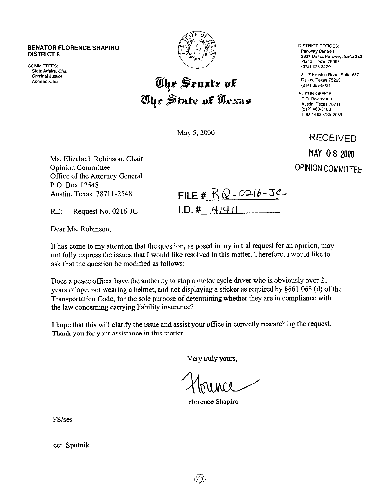## **SENATOR FLORENCE SHAPIRO DISTRICT 8**

**COMMITTEES:** State Affairs, Chair **Criminal Justice** Administration



## The Senate of<br>The State of Texas

May 5, 2000

**DISTRICT OFFICES:** Parkway Centre I 2901 Dallas Parkway, Suite 330 Plano, Texas 75093 (972) 378-3229

8117 Preston Road, Suite 687 Dallas, Texas 75225 (214) 363-5031

**AUSTIN OFFICE:** P.O. Box 12068 Austin, Texas 78711 (512) 463-0108 TDD 1-800-735-2989

RECEIVED MAY 08 2000 OPINION **COMMITTEE** 

Ms. Elizabeth Robinson, Chair Opinion Committee Office of the Attorney General P.O. Box 12548 Austin, Texas 7871 l-2548

| FILE # $RQ - 0216 - 3C$ |
|-------------------------|
| 1.D. # 41911            |

RE: Request No. 0216-JC

Dear Ms. Robinson,

It has come to my attention that the question, as posed in my initial request for an opinion, may not fully express the issues that I would like resolved in this matter. Therefore, I would like to ask that the question be modified as follows:

Does a peace officer have the authority to stop a motor cycle driver who is obviously over 21 years of age, not wearing a helmet, and not displaying a sticker as required by \$66 1.063 (d) of the Transportation Code, for the sole purpose of determining whether they are in compliance with the law concerning carrying liability insurance?

I hope that this will clarify the issue and assist your office in conectly researching the request. Thank you for your assistance in this matter.

Very truly yours,

Florence Shapiro

FS/ses

cc: Sputnik